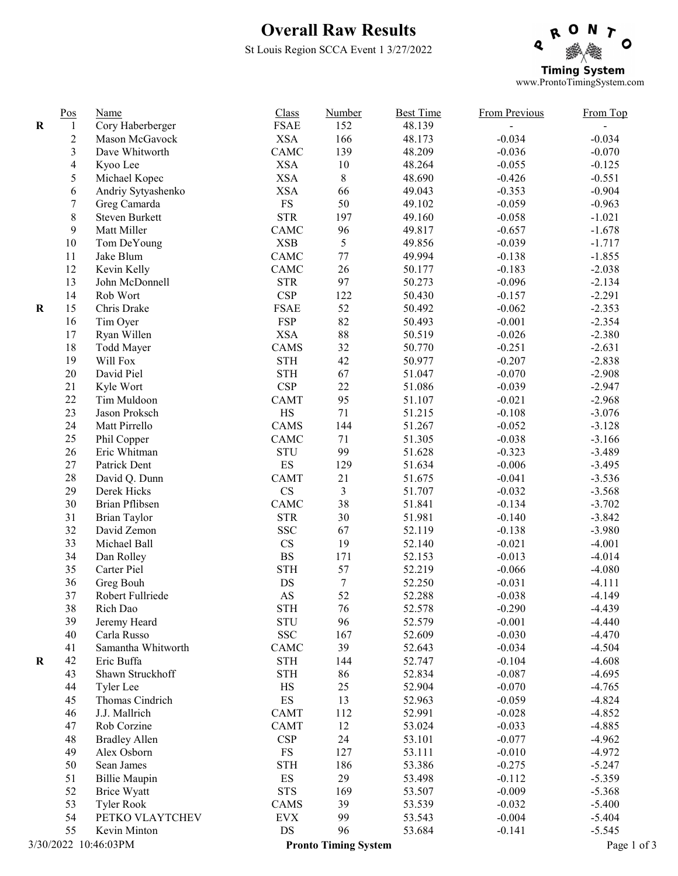## Overall Raw Results

St Louis Region SCCA Event 1 3/27/2022



|                      | $\underline{Pos}$ | Name                 | Class                    | Number                      | <b>Best Time</b> | <b>From Previous</b> | From Top    |
|----------------------|-------------------|----------------------|--------------------------|-----------------------------|------------------|----------------------|-------------|
| $\mathbf R$          | $\mathbf{1}$      | Cory Haberberger     | <b>FSAE</b>              | 152                         | 48.139           |                      |             |
|                      | $\overline{c}$    | Mason McGavock       | <b>XSA</b>               | 166                         | 48.173           | $-0.034$             | $-0.034$    |
|                      | 3                 | Dave Whitworth       | CAMC                     | 139                         | 48.209           | $-0.036$             | $-0.070$    |
|                      | $\overline{4}$    | Kyoo Lee             | <b>XSA</b>               | $10\,$                      | 48.264           | $-0.055$             | $-0.125$    |
|                      | 5                 | Michael Kopec        | <b>XSA</b>               | $8\,$                       | 48.690           | $-0.426$             | $-0.551$    |
|                      | 6                 | Andriy Sytyashenko   | <b>XSA</b>               | 66                          | 49.043           | $-0.353$             | $-0.904$    |
|                      | $\boldsymbol{7}$  | Greg Camarda         | ${\rm FS}$               | 50                          | 49.102           | $-0.059$             | $-0.963$    |
|                      | $\,8\,$           | Steven Burkett       | <b>STR</b>               | 197                         | 49.160           | $-0.058$             | $-1.021$    |
|                      | 9                 | Matt Miller          | CAMC                     | 96                          | 49.817           | $-0.657$             | $-1.678$    |
|                      | $10\,$            | Tom DeYoung          | <b>XSB</b>               | 5                           | 49.856           | $-0.039$             | $-1.717$    |
|                      | 11                | Jake Blum            | CAMC                     | 77                          | 49.994           | $-0.138$             | $-1.855$    |
|                      | 12                | Kevin Kelly          | <b>CAMC</b>              | 26                          | 50.177           | $-0.183$             | $-2.038$    |
|                      | 13                | John McDonnell       | <b>STR</b>               | 97                          | 50.273           | $-0.096$             | $-2.134$    |
|                      | 14                | Rob Wort             | CSP                      | 122                         | 50.430           | $-0.157$             | $-2.291$    |
| $\bf R$              | 15                | Chris Drake          | <b>FSAE</b>              | 52                          | 50.492           | $-0.062$             | $-2.353$    |
|                      | 16                | Tim Oyer             | <b>FSP</b>               | 82                          | 50.493           | $-0.001$             | $-2.354$    |
|                      | 17                | Ryan Willen          | <b>XSA</b>               | $88\,$                      | 50.519           | $-0.026$             | $-2.380$    |
|                      | 18                | Todd Mayer           | CAMS                     | 32                          | 50.770           | $-0.251$             | $-2.631$    |
|                      | 19                | Will Fox             | <b>STH</b>               | 42                          | 50.977           | $-0.207$             | $-2.838$    |
|                      | 20                | David Piel           | <b>STH</b>               | 67                          | 51.047           | $-0.070$             | $-2.908$    |
|                      | 21                | Kyle Wort            | <b>CSP</b>               | 22                          | 51.086           | $-0.039$             | $-2.947$    |
|                      | 22                | Tim Muldoon          | <b>CAMT</b>              | 95                          | 51.107           | $-0.021$             | $-2.968$    |
|                      | 23                | Jason Proksch        | $\rm HS$                 | $71\,$                      | 51.215           | $-0.108$             | $-3.076$    |
|                      | 24                | Matt Pirrello        | CAMS                     | 144                         | 51.267           | $-0.052$             | $-3.128$    |
|                      | 25                | Phil Copper          | CAMC                     | 71                          | 51.305           | $-0.038$             | $-3.166$    |
|                      | $26\,$            | Eric Whitman         | <b>STU</b>               | 99                          | 51.628           | $-0.323$             | $-3.489$    |
|                      | $27\,$            | Patrick Dent         | $\mathop{\hbox{\rm ES}}$ | 129                         | 51.634           | $-0.006$             | $-3.495$    |
|                      | $28\,$            | David Q. Dunn        | <b>CAMT</b>              | 21                          | 51.675           | $-0.041$             | $-3.536$    |
|                      | 29                | Derek Hicks          | $\mathbf{C}\mathbf{S}$   | $\overline{3}$              | 51.707           | $-0.032$             | $-3.568$    |
|                      | 30                | Brian Pflibsen       | CAMC                     | 38                          | 51.841           | $-0.134$             | $-3.702$    |
|                      | 31                | <b>Brian Taylor</b>  | <b>STR</b>               | 30                          | 51.981           | $-0.140$             | $-3.842$    |
|                      | 32                | David Zemon          | <b>SSC</b>               | 67                          | 52.119           | $-0.138$             | $-3.980$    |
|                      | 33                | Michael Ball         | $\mathbf{C}\mathbf{S}$   | 19                          | 52.140           | $-0.021$             | $-4.001$    |
|                      | 34                | Dan Rolley           | $\mathbf{B}\mathbf{S}$   | 171                         | 52.153           | $-0.013$             | $-4.014$    |
|                      | 35                | Carter Piel          | <b>STH</b>               | 57                          | 52.219           | $-0.066$             | $-4.080$    |
|                      | 36                | Greg Bouh            | DS                       | $\boldsymbol{7}$            | 52.250           | $-0.031$             | $-4.111$    |
|                      | 37                | Robert Fullriede     | $\mathbf{A}\mathbf{S}$   | 52                          | 52.288           | $-0.038$             | $-4.149$    |
|                      | 38                | Rich Dao             | <b>STH</b>               | 76                          | 52.578           | $-0.290$             | $-4.439$    |
|                      | 39                | Jeremy Heard         | <b>STU</b>               | 96                          | 52.579           | $-0.001$             | $-4.440$    |
|                      | 40                | Carla Russo          | <b>SSC</b>               | 167                         | 52.609           | $-0.030$             | $-4.470$    |
|                      | 41                | Samantha Whitworth   | CAMC                     | 39                          | 52.643           | $-0.034$             | $-4.504$    |
| $\bf R$              | 42                | Eric Buffa           | <b>STH</b>               | 144                         | 52.747           | $-0.104$             | $-4.608$    |
|                      | 43                | Shawn Struckhoff     | <b>STH</b>               | 86                          | 52.834           | $-0.087$             | $-4.695$    |
|                      | 44                | Tyler Lee            | HS                       | 25                          | 52.904           | $-0.070$             | $-4.765$    |
|                      | 45                | Thomas Cindrich      | ES                       | 13                          | 52.963           | $-0.059$             | $-4.824$    |
|                      | 46                | J.J. Mallrich        | CAMT                     | 112                         | 52.991           | $-0.028$             | $-4.852$    |
|                      | 47                | Rob Corzine          | CAMT                     | 12                          | 53.024           | $-0.033$             | $-4.885$    |
|                      | 48                | <b>Bradley Allen</b> | <b>CSP</b>               | 24                          | 53.101           | $-0.077$             | $-4.962$    |
|                      | 49                | Alex Osborn          | FS                       | 127                         | 53.111           | $-0.010$             | $-4.972$    |
|                      | 50                | Sean James           | <b>STH</b>               | 186                         | 53.386           | $-0.275$             | $-5.247$    |
|                      | 51                | <b>Billie Maupin</b> | ES                       | 29                          | 53.498           | $-0.112$             | $-5.359$    |
|                      | 52                | <b>Brice Wyatt</b>   | <b>STS</b>               | 169                         | 53.507           | $-0.009$             | $-5.368$    |
|                      | 53                | <b>Tyler Rook</b>    | CAMS                     | 39                          | 53.539           | $-0.032$             | $-5.400$    |
|                      | 54                | PETKO VLAYTCHEV      | <b>EVX</b>               | 99                          | 53.543           | $-0.004$             | $-5.404$    |
|                      | 55                | Kevin Minton         | $\mathop{\rm DS}$        | 96                          | 53.684           | $-0.141$             | $-5.545$    |
| 3/30/2022 10:46:03PM |                   |                      |                          | <b>Pronto Timing System</b> |                  |                      | Page 1 of 3 |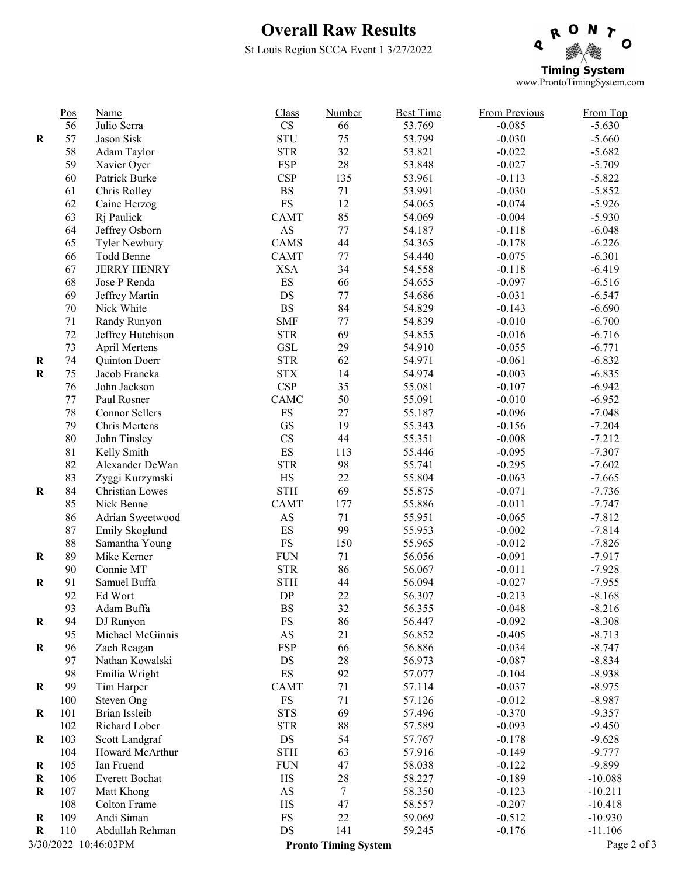## Overall Raw Results

St Louis Region SCCA Event 1 3/27/2022



| $\mathbf{C}\mathbf{S}$<br>Julio Serra<br>53.769<br>$-0.085$<br>56<br>66<br>$-5.630$<br><b>STU</b><br>57<br>Jason Sisk<br>75<br>53.799<br>$-0.030$<br>$-5.660$<br>$\bf R$<br><b>STR</b><br>32<br>58<br>53.821<br>$-0.022$<br>Adam Taylor<br>$-5.682$<br>28<br><b>FSP</b><br>59<br>53.848<br>$-0.027$<br>$-5.709$<br>Xavier Oyer<br>60<br>Patrick Burke<br><b>CSP</b><br>135<br>53.961<br>$-0.113$<br>$-5.822$<br>$\mathbf{B}\mathbf{S}$<br>71<br>61<br>53.991<br>$-0.030$<br>$-5.852$<br>Chris Rolley<br>12<br>FS<br>62<br>54.065<br>$-0.074$<br>$-5.926$<br>Caine Herzog<br>85<br>63<br><b>CAMT</b><br>54.069<br>$-0.004$<br>$-5.930$<br>Rj Paulick<br>$\mathbf{A}\mathbf{S}$<br>64<br>$77 \,$<br>Jeffrey Osborn<br>54.187<br>$-0.118$<br>$-6.048$<br>44<br>65<br>CAMS<br>$-0.178$<br>$-6.226$<br>Tyler Newbury<br>54.365<br>66<br>Todd Benne<br><b>CAMT</b><br>$77 \,$<br>54.440<br>$-0.075$<br>$-6.301$<br>67<br><b>JERRY HENRY</b><br>34<br><b>XSA</b><br>54.558<br>$-0.118$<br>$-6.419$<br>68<br>ES<br>66<br>$-0.097$<br>$-6.516$<br>Jose P Renda<br>54.655<br>77<br>$DS$<br>69<br>Jeffrey Martin<br>54.686<br>$-0.031$<br>$-6.547$<br>84<br>70<br><b>BS</b><br>$-0.143$<br>Nick White<br>54.829<br>$-6.690$<br>71<br><b>SMF</b><br>77<br>$-0.010$<br>Randy Runyon<br>54.839<br>$-6.700$<br>$72\,$<br>69<br><b>STR</b><br>$-0.016$<br>Jeffrey Hutchison<br>54.855<br>$-6.716$<br>29<br>73<br>$\operatorname{GSL}$<br>$-0.055$<br>April Mertens<br>54.910<br>$-6.771$<br>62<br>74<br><b>STR</b><br>54.971<br>$-0.061$<br>$-6.832$<br>Quinton Doerr<br>$\bf R$<br>14<br>$\mathbf R$<br>75<br>Jacob Francka<br><b>STX</b><br>54.974<br>$-0.003$<br>$-6.835$<br>CSP<br>35<br>76<br>John Jackson<br>$-0.107$<br>$-6.942$<br>55.081<br>50<br>Paul Rosner<br>CAMC<br>55.091<br>$-0.010$<br>$-6.952$<br>77<br>$78\,$<br>27<br>Connor Sellers<br>$\mathop{\text{FS}}$<br>55.187<br>$-0.096$<br>$-7.048$<br>$\operatorname{GS}$<br>19<br>79<br>Chris Mertens<br>55.343<br>$-0.156$<br>$-7.204$<br>CS<br>$80\,$<br>44<br>John Tinsley<br>55.351<br>$-0.008$<br>$-7.212$<br>$\mathop{\hbox{\rm ES}}$<br>$81\,$<br>Kelly Smith<br>113<br>55.446<br>$-0.095$<br>$-7.307$<br>82<br>98<br>Alexander DeWan<br><b>STR</b><br>55.741<br>$-0.295$<br>$-7.602$<br>83<br>$\rm HS$<br>22<br>55.804<br>$-0.063$<br>Zyggi Kurzymski<br>$-7.665$<br>69<br>84<br>$\operatorname{STH}$<br>55.875<br>$-0.071$<br>Christian Lowes<br>$-7.736$<br>$\bf R$<br>85<br>Nick Benne<br><b>CAMT</b><br>177<br>55.886<br>$-0.011$<br>$-7.747$<br>86<br>71<br>55.951<br>$-0.065$<br>$-7.812$<br>Adrian Sweetwood<br>$\mathbf{A}\mathbf{S}$<br>99<br>ES<br>87<br>55.953<br>$-0.002$<br>$-7.814$<br>Emily Skoglund<br>$88\,$<br>${\rm FS}$<br>150<br>55.965<br>$-0.012$<br>$-7.826$<br>Samantha Young<br>89<br><b>FUN</b><br>71<br>$-0.091$<br>$-7.917$<br>$\bf R$<br>Mike Kerner<br>56.056<br><b>STR</b><br>86<br>90<br>Connie MT<br>56.067<br>$-0.011$<br>$-7.928$<br><b>STH</b><br>91<br>Samuel Buffa<br>44<br>56.094<br>$\mathbf R$<br>$-0.027$<br>$-7.955$<br>${\rm DP}$<br>22<br>92<br>56.307<br>$-0.213$<br>Ed Wort<br>$-8.168$<br><b>BS</b><br>32<br>93<br>Adam Buffa<br>56.355<br>$-0.048$<br>$-8.216$<br>94<br>DJ Runyon<br>FS<br>86<br>56.447<br>$-0.092$<br>$-8.308$<br>$\bf R$<br>Michael McGinnis<br>AS<br>21<br>56.852<br>$-0.405$<br>95<br>$-8.713$<br><b>FSP</b><br>66<br>56.886<br>$-0.034$<br>$-8.747$<br>R<br>96<br>Zach Reagan<br>97<br>Nathan Kowalski<br>DS<br>28<br>56.973<br>$-0.087$<br>$-8.834$<br>ES<br>92<br>98<br>Emilia Wright<br>57.077<br>$-0.104$<br>$-8.938$<br>99<br>CAMT<br>71<br>Tim Harper<br>57.114<br>$-0.037$<br>$-8.975$<br>$\bf R$<br>71<br>Steven Ong<br>FS<br>57.126<br>$-0.012$<br>$-8.987$<br>100<br>Brian Issleib<br><b>STS</b><br>69<br>$-0.370$<br>$\bf R$<br>101<br>57.496<br>$-9.357$<br>88<br>102<br>Richard Lober<br><b>STR</b><br>57.589<br>$-0.093$<br>$-9.450$<br>103<br>Scott Landgraf<br>DS<br>54<br>$\bf R$<br>57.767<br>$-0.178$<br>$-9.628$<br>Howard McArthur<br><b>STH</b><br>63<br>57.916<br>$-0.149$<br>$-9.777$<br>104<br>47<br>105<br>Ian Fruend<br><b>FUN</b><br>58.038<br>$-0.122$<br>$-9.899$<br>R<br>106<br>Everett Bochat<br>HS<br>28<br>58.227<br>$-0.189$<br>$\bf R$<br>$-10.088$<br>$\tau$<br>$\bf R$<br>107<br>Matt Khong<br>$\mathbf{A}\mathbf{S}$<br>58.350<br>$-0.123$<br>$-10.211$<br>47<br>Colton Frame<br>HS<br>$-0.207$<br>108<br>58.557<br>$-10.418$<br>Andi Siman<br>FS<br>22<br>109<br>59.069<br>$-0.512$<br>$-10.930$<br>R<br>$DS$<br>141<br>110<br>Abdullah Rehman<br>59.245<br>$-0.176$<br>$-11.106$<br>R<br>3/30/2022 10:46:03PM<br><b>Pronto Timing System</b> | $\underline{Pos}$ | Name | Class | Number | <b>Best Time</b> | From Previous | From Top |
|-----------------------------------------------------------------------------------------------------------------------------------------------------------------------------------------------------------------------------------------------------------------------------------------------------------------------------------------------------------------------------------------------------------------------------------------------------------------------------------------------------------------------------------------------------------------------------------------------------------------------------------------------------------------------------------------------------------------------------------------------------------------------------------------------------------------------------------------------------------------------------------------------------------------------------------------------------------------------------------------------------------------------------------------------------------------------------------------------------------------------------------------------------------------------------------------------------------------------------------------------------------------------------------------------------------------------------------------------------------------------------------------------------------------------------------------------------------------------------------------------------------------------------------------------------------------------------------------------------------------------------------------------------------------------------------------------------------------------------------------------------------------------------------------------------------------------------------------------------------------------------------------------------------------------------------------------------------------------------------------------------------------------------------------------------------------------------------------------------------------------------------------------------------------------------------------------------------------------------------------------------------------------------------------------------------------------------------------------------------------------------------------------------------------------------------------------------------------------------------------------------------------------------------------------------------------------------------------------------------------------------------------------------------------------------------------------------------------------------------------------------------------------------------------------------------------------------------------------------------------------------------------------------------------------------------------------------------------------------------------------------------------------------------------------------------------------------------------------------------------------------------------------------------------------------------------------------------------------------------------------------------------------------------------------------------------------------------------------------------------------------------------------------------------------------------------------------------------------------------------------------------------------------------------------------------------------------------------------------------------------------------------------------------------------------------------------------------------------------------------------------------------------------------------------------------------------------------------------------------------------------------------------------------------------------------------------------------------------------------------------------------------------------------------------------------------------------------------------------------------------------------------------------------------------------------------------------------------------------------------------------------------------------------------------------------------------------------------------------------------------------------------------------------------------------------------------------------------------------------------------------------------------------------------------------------------------------------------------------------------------|-------------------|------|-------|--------|------------------|---------------|----------|
|                                                                                                                                                                                                                                                                                                                                                                                                                                                                                                                                                                                                                                                                                                                                                                                                                                                                                                                                                                                                                                                                                                                                                                                                                                                                                                                                                                                                                                                                                                                                                                                                                                                                                                                                                                                                                                                                                                                                                                                                                                                                                                                                                                                                                                                                                                                                                                                                                                                                                                                                                                                                                                                                                                                                                                                                                                                                                                                                                                                                                                                                                                                                                                                                                                                                                                                                                                                                                                                                                                                                                                                                                                                                                                                                                                                                                                                                                                                                                                                                                                                                                                                                                                                                                                                                                                                                                                                                                                                                                                                                                                                                                       |                   |      |       |        |                  |               |          |
|                                                                                                                                                                                                                                                                                                                                                                                                                                                                                                                                                                                                                                                                                                                                                                                                                                                                                                                                                                                                                                                                                                                                                                                                                                                                                                                                                                                                                                                                                                                                                                                                                                                                                                                                                                                                                                                                                                                                                                                                                                                                                                                                                                                                                                                                                                                                                                                                                                                                                                                                                                                                                                                                                                                                                                                                                                                                                                                                                                                                                                                                                                                                                                                                                                                                                                                                                                                                                                                                                                                                                                                                                                                                                                                                                                                                                                                                                                                                                                                                                                                                                                                                                                                                                                                                                                                                                                                                                                                                                                                                                                                                                       |                   |      |       |        |                  |               |          |
|                                                                                                                                                                                                                                                                                                                                                                                                                                                                                                                                                                                                                                                                                                                                                                                                                                                                                                                                                                                                                                                                                                                                                                                                                                                                                                                                                                                                                                                                                                                                                                                                                                                                                                                                                                                                                                                                                                                                                                                                                                                                                                                                                                                                                                                                                                                                                                                                                                                                                                                                                                                                                                                                                                                                                                                                                                                                                                                                                                                                                                                                                                                                                                                                                                                                                                                                                                                                                                                                                                                                                                                                                                                                                                                                                                                                                                                                                                                                                                                                                                                                                                                                                                                                                                                                                                                                                                                                                                                                                                                                                                                                                       |                   |      |       |        |                  |               |          |
|                                                                                                                                                                                                                                                                                                                                                                                                                                                                                                                                                                                                                                                                                                                                                                                                                                                                                                                                                                                                                                                                                                                                                                                                                                                                                                                                                                                                                                                                                                                                                                                                                                                                                                                                                                                                                                                                                                                                                                                                                                                                                                                                                                                                                                                                                                                                                                                                                                                                                                                                                                                                                                                                                                                                                                                                                                                                                                                                                                                                                                                                                                                                                                                                                                                                                                                                                                                                                                                                                                                                                                                                                                                                                                                                                                                                                                                                                                                                                                                                                                                                                                                                                                                                                                                                                                                                                                                                                                                                                                                                                                                                                       |                   |      |       |        |                  |               |          |
|                                                                                                                                                                                                                                                                                                                                                                                                                                                                                                                                                                                                                                                                                                                                                                                                                                                                                                                                                                                                                                                                                                                                                                                                                                                                                                                                                                                                                                                                                                                                                                                                                                                                                                                                                                                                                                                                                                                                                                                                                                                                                                                                                                                                                                                                                                                                                                                                                                                                                                                                                                                                                                                                                                                                                                                                                                                                                                                                                                                                                                                                                                                                                                                                                                                                                                                                                                                                                                                                                                                                                                                                                                                                                                                                                                                                                                                                                                                                                                                                                                                                                                                                                                                                                                                                                                                                                                                                                                                                                                                                                                                                                       |                   |      |       |        |                  |               |          |
|                                                                                                                                                                                                                                                                                                                                                                                                                                                                                                                                                                                                                                                                                                                                                                                                                                                                                                                                                                                                                                                                                                                                                                                                                                                                                                                                                                                                                                                                                                                                                                                                                                                                                                                                                                                                                                                                                                                                                                                                                                                                                                                                                                                                                                                                                                                                                                                                                                                                                                                                                                                                                                                                                                                                                                                                                                                                                                                                                                                                                                                                                                                                                                                                                                                                                                                                                                                                                                                                                                                                                                                                                                                                                                                                                                                                                                                                                                                                                                                                                                                                                                                                                                                                                                                                                                                                                                                                                                                                                                                                                                                                                       |                   |      |       |        |                  |               |          |
|                                                                                                                                                                                                                                                                                                                                                                                                                                                                                                                                                                                                                                                                                                                                                                                                                                                                                                                                                                                                                                                                                                                                                                                                                                                                                                                                                                                                                                                                                                                                                                                                                                                                                                                                                                                                                                                                                                                                                                                                                                                                                                                                                                                                                                                                                                                                                                                                                                                                                                                                                                                                                                                                                                                                                                                                                                                                                                                                                                                                                                                                                                                                                                                                                                                                                                                                                                                                                                                                                                                                                                                                                                                                                                                                                                                                                                                                                                                                                                                                                                                                                                                                                                                                                                                                                                                                                                                                                                                                                                                                                                                                                       |                   |      |       |        |                  |               |          |
|                                                                                                                                                                                                                                                                                                                                                                                                                                                                                                                                                                                                                                                                                                                                                                                                                                                                                                                                                                                                                                                                                                                                                                                                                                                                                                                                                                                                                                                                                                                                                                                                                                                                                                                                                                                                                                                                                                                                                                                                                                                                                                                                                                                                                                                                                                                                                                                                                                                                                                                                                                                                                                                                                                                                                                                                                                                                                                                                                                                                                                                                                                                                                                                                                                                                                                                                                                                                                                                                                                                                                                                                                                                                                                                                                                                                                                                                                                                                                                                                                                                                                                                                                                                                                                                                                                                                                                                                                                                                                                                                                                                                                       |                   |      |       |        |                  |               |          |
|                                                                                                                                                                                                                                                                                                                                                                                                                                                                                                                                                                                                                                                                                                                                                                                                                                                                                                                                                                                                                                                                                                                                                                                                                                                                                                                                                                                                                                                                                                                                                                                                                                                                                                                                                                                                                                                                                                                                                                                                                                                                                                                                                                                                                                                                                                                                                                                                                                                                                                                                                                                                                                                                                                                                                                                                                                                                                                                                                                                                                                                                                                                                                                                                                                                                                                                                                                                                                                                                                                                                                                                                                                                                                                                                                                                                                                                                                                                                                                                                                                                                                                                                                                                                                                                                                                                                                                                                                                                                                                                                                                                                                       |                   |      |       |        |                  |               |          |
|                                                                                                                                                                                                                                                                                                                                                                                                                                                                                                                                                                                                                                                                                                                                                                                                                                                                                                                                                                                                                                                                                                                                                                                                                                                                                                                                                                                                                                                                                                                                                                                                                                                                                                                                                                                                                                                                                                                                                                                                                                                                                                                                                                                                                                                                                                                                                                                                                                                                                                                                                                                                                                                                                                                                                                                                                                                                                                                                                                                                                                                                                                                                                                                                                                                                                                                                                                                                                                                                                                                                                                                                                                                                                                                                                                                                                                                                                                                                                                                                                                                                                                                                                                                                                                                                                                                                                                                                                                                                                                                                                                                                                       |                   |      |       |        |                  |               |          |
|                                                                                                                                                                                                                                                                                                                                                                                                                                                                                                                                                                                                                                                                                                                                                                                                                                                                                                                                                                                                                                                                                                                                                                                                                                                                                                                                                                                                                                                                                                                                                                                                                                                                                                                                                                                                                                                                                                                                                                                                                                                                                                                                                                                                                                                                                                                                                                                                                                                                                                                                                                                                                                                                                                                                                                                                                                                                                                                                                                                                                                                                                                                                                                                                                                                                                                                                                                                                                                                                                                                                                                                                                                                                                                                                                                                                                                                                                                                                                                                                                                                                                                                                                                                                                                                                                                                                                                                                                                                                                                                                                                                                                       |                   |      |       |        |                  |               |          |
|                                                                                                                                                                                                                                                                                                                                                                                                                                                                                                                                                                                                                                                                                                                                                                                                                                                                                                                                                                                                                                                                                                                                                                                                                                                                                                                                                                                                                                                                                                                                                                                                                                                                                                                                                                                                                                                                                                                                                                                                                                                                                                                                                                                                                                                                                                                                                                                                                                                                                                                                                                                                                                                                                                                                                                                                                                                                                                                                                                                                                                                                                                                                                                                                                                                                                                                                                                                                                                                                                                                                                                                                                                                                                                                                                                                                                                                                                                                                                                                                                                                                                                                                                                                                                                                                                                                                                                                                                                                                                                                                                                                                                       |                   |      |       |        |                  |               |          |
|                                                                                                                                                                                                                                                                                                                                                                                                                                                                                                                                                                                                                                                                                                                                                                                                                                                                                                                                                                                                                                                                                                                                                                                                                                                                                                                                                                                                                                                                                                                                                                                                                                                                                                                                                                                                                                                                                                                                                                                                                                                                                                                                                                                                                                                                                                                                                                                                                                                                                                                                                                                                                                                                                                                                                                                                                                                                                                                                                                                                                                                                                                                                                                                                                                                                                                                                                                                                                                                                                                                                                                                                                                                                                                                                                                                                                                                                                                                                                                                                                                                                                                                                                                                                                                                                                                                                                                                                                                                                                                                                                                                                                       |                   |      |       |        |                  |               |          |
|                                                                                                                                                                                                                                                                                                                                                                                                                                                                                                                                                                                                                                                                                                                                                                                                                                                                                                                                                                                                                                                                                                                                                                                                                                                                                                                                                                                                                                                                                                                                                                                                                                                                                                                                                                                                                                                                                                                                                                                                                                                                                                                                                                                                                                                                                                                                                                                                                                                                                                                                                                                                                                                                                                                                                                                                                                                                                                                                                                                                                                                                                                                                                                                                                                                                                                                                                                                                                                                                                                                                                                                                                                                                                                                                                                                                                                                                                                                                                                                                                                                                                                                                                                                                                                                                                                                                                                                                                                                                                                                                                                                                                       |                   |      |       |        |                  |               |          |
|                                                                                                                                                                                                                                                                                                                                                                                                                                                                                                                                                                                                                                                                                                                                                                                                                                                                                                                                                                                                                                                                                                                                                                                                                                                                                                                                                                                                                                                                                                                                                                                                                                                                                                                                                                                                                                                                                                                                                                                                                                                                                                                                                                                                                                                                                                                                                                                                                                                                                                                                                                                                                                                                                                                                                                                                                                                                                                                                                                                                                                                                                                                                                                                                                                                                                                                                                                                                                                                                                                                                                                                                                                                                                                                                                                                                                                                                                                                                                                                                                                                                                                                                                                                                                                                                                                                                                                                                                                                                                                                                                                                                                       |                   |      |       |        |                  |               |          |
|                                                                                                                                                                                                                                                                                                                                                                                                                                                                                                                                                                                                                                                                                                                                                                                                                                                                                                                                                                                                                                                                                                                                                                                                                                                                                                                                                                                                                                                                                                                                                                                                                                                                                                                                                                                                                                                                                                                                                                                                                                                                                                                                                                                                                                                                                                                                                                                                                                                                                                                                                                                                                                                                                                                                                                                                                                                                                                                                                                                                                                                                                                                                                                                                                                                                                                                                                                                                                                                                                                                                                                                                                                                                                                                                                                                                                                                                                                                                                                                                                                                                                                                                                                                                                                                                                                                                                                                                                                                                                                                                                                                                                       |                   |      |       |        |                  |               |          |
|                                                                                                                                                                                                                                                                                                                                                                                                                                                                                                                                                                                                                                                                                                                                                                                                                                                                                                                                                                                                                                                                                                                                                                                                                                                                                                                                                                                                                                                                                                                                                                                                                                                                                                                                                                                                                                                                                                                                                                                                                                                                                                                                                                                                                                                                                                                                                                                                                                                                                                                                                                                                                                                                                                                                                                                                                                                                                                                                                                                                                                                                                                                                                                                                                                                                                                                                                                                                                                                                                                                                                                                                                                                                                                                                                                                                                                                                                                                                                                                                                                                                                                                                                                                                                                                                                                                                                                                                                                                                                                                                                                                                                       |                   |      |       |        |                  |               |          |
|                                                                                                                                                                                                                                                                                                                                                                                                                                                                                                                                                                                                                                                                                                                                                                                                                                                                                                                                                                                                                                                                                                                                                                                                                                                                                                                                                                                                                                                                                                                                                                                                                                                                                                                                                                                                                                                                                                                                                                                                                                                                                                                                                                                                                                                                                                                                                                                                                                                                                                                                                                                                                                                                                                                                                                                                                                                                                                                                                                                                                                                                                                                                                                                                                                                                                                                                                                                                                                                                                                                                                                                                                                                                                                                                                                                                                                                                                                                                                                                                                                                                                                                                                                                                                                                                                                                                                                                                                                                                                                                                                                                                                       |                   |      |       |        |                  |               |          |
|                                                                                                                                                                                                                                                                                                                                                                                                                                                                                                                                                                                                                                                                                                                                                                                                                                                                                                                                                                                                                                                                                                                                                                                                                                                                                                                                                                                                                                                                                                                                                                                                                                                                                                                                                                                                                                                                                                                                                                                                                                                                                                                                                                                                                                                                                                                                                                                                                                                                                                                                                                                                                                                                                                                                                                                                                                                                                                                                                                                                                                                                                                                                                                                                                                                                                                                                                                                                                                                                                                                                                                                                                                                                                                                                                                                                                                                                                                                                                                                                                                                                                                                                                                                                                                                                                                                                                                                                                                                                                                                                                                                                                       |                   |      |       |        |                  |               |          |
|                                                                                                                                                                                                                                                                                                                                                                                                                                                                                                                                                                                                                                                                                                                                                                                                                                                                                                                                                                                                                                                                                                                                                                                                                                                                                                                                                                                                                                                                                                                                                                                                                                                                                                                                                                                                                                                                                                                                                                                                                                                                                                                                                                                                                                                                                                                                                                                                                                                                                                                                                                                                                                                                                                                                                                                                                                                                                                                                                                                                                                                                                                                                                                                                                                                                                                                                                                                                                                                                                                                                                                                                                                                                                                                                                                                                                                                                                                                                                                                                                                                                                                                                                                                                                                                                                                                                                                                                                                                                                                                                                                                                                       |                   |      |       |        |                  |               |          |
|                                                                                                                                                                                                                                                                                                                                                                                                                                                                                                                                                                                                                                                                                                                                                                                                                                                                                                                                                                                                                                                                                                                                                                                                                                                                                                                                                                                                                                                                                                                                                                                                                                                                                                                                                                                                                                                                                                                                                                                                                                                                                                                                                                                                                                                                                                                                                                                                                                                                                                                                                                                                                                                                                                                                                                                                                                                                                                                                                                                                                                                                                                                                                                                                                                                                                                                                                                                                                                                                                                                                                                                                                                                                                                                                                                                                                                                                                                                                                                                                                                                                                                                                                                                                                                                                                                                                                                                                                                                                                                                                                                                                                       |                   |      |       |        |                  |               |          |
|                                                                                                                                                                                                                                                                                                                                                                                                                                                                                                                                                                                                                                                                                                                                                                                                                                                                                                                                                                                                                                                                                                                                                                                                                                                                                                                                                                                                                                                                                                                                                                                                                                                                                                                                                                                                                                                                                                                                                                                                                                                                                                                                                                                                                                                                                                                                                                                                                                                                                                                                                                                                                                                                                                                                                                                                                                                                                                                                                                                                                                                                                                                                                                                                                                                                                                                                                                                                                                                                                                                                                                                                                                                                                                                                                                                                                                                                                                                                                                                                                                                                                                                                                                                                                                                                                                                                                                                                                                                                                                                                                                                                                       |                   |      |       |        |                  |               |          |
| Page 2 of 3                                                                                                                                                                                                                                                                                                                                                                                                                                                                                                                                                                                                                                                                                                                                                                                                                                                                                                                                                                                                                                                                                                                                                                                                                                                                                                                                                                                                                                                                                                                                                                                                                                                                                                                                                                                                                                                                                                                                                                                                                                                                                                                                                                                                                                                                                                                                                                                                                                                                                                                                                                                                                                                                                                                                                                                                                                                                                                                                                                                                                                                                                                                                                                                                                                                                                                                                                                                                                                                                                                                                                                                                                                                                                                                                                                                                                                                                                                                                                                                                                                                                                                                                                                                                                                                                                                                                                                                                                                                                                                                                                                                                           |                   |      |       |        |                  |               |          |
|                                                                                                                                                                                                                                                                                                                                                                                                                                                                                                                                                                                                                                                                                                                                                                                                                                                                                                                                                                                                                                                                                                                                                                                                                                                                                                                                                                                                                                                                                                                                                                                                                                                                                                                                                                                                                                                                                                                                                                                                                                                                                                                                                                                                                                                                                                                                                                                                                                                                                                                                                                                                                                                                                                                                                                                                                                                                                                                                                                                                                                                                                                                                                                                                                                                                                                                                                                                                                                                                                                                                                                                                                                                                                                                                                                                                                                                                                                                                                                                                                                                                                                                                                                                                                                                                                                                                                                                                                                                                                                                                                                                                                       |                   |      |       |        |                  |               |          |
|                                                                                                                                                                                                                                                                                                                                                                                                                                                                                                                                                                                                                                                                                                                                                                                                                                                                                                                                                                                                                                                                                                                                                                                                                                                                                                                                                                                                                                                                                                                                                                                                                                                                                                                                                                                                                                                                                                                                                                                                                                                                                                                                                                                                                                                                                                                                                                                                                                                                                                                                                                                                                                                                                                                                                                                                                                                                                                                                                                                                                                                                                                                                                                                                                                                                                                                                                                                                                                                                                                                                                                                                                                                                                                                                                                                                                                                                                                                                                                                                                                                                                                                                                                                                                                                                                                                                                                                                                                                                                                                                                                                                                       |                   |      |       |        |                  |               |          |
|                                                                                                                                                                                                                                                                                                                                                                                                                                                                                                                                                                                                                                                                                                                                                                                                                                                                                                                                                                                                                                                                                                                                                                                                                                                                                                                                                                                                                                                                                                                                                                                                                                                                                                                                                                                                                                                                                                                                                                                                                                                                                                                                                                                                                                                                                                                                                                                                                                                                                                                                                                                                                                                                                                                                                                                                                                                                                                                                                                                                                                                                                                                                                                                                                                                                                                                                                                                                                                                                                                                                                                                                                                                                                                                                                                                                                                                                                                                                                                                                                                                                                                                                                                                                                                                                                                                                                                                                                                                                                                                                                                                                                       |                   |      |       |        |                  |               |          |
|                                                                                                                                                                                                                                                                                                                                                                                                                                                                                                                                                                                                                                                                                                                                                                                                                                                                                                                                                                                                                                                                                                                                                                                                                                                                                                                                                                                                                                                                                                                                                                                                                                                                                                                                                                                                                                                                                                                                                                                                                                                                                                                                                                                                                                                                                                                                                                                                                                                                                                                                                                                                                                                                                                                                                                                                                                                                                                                                                                                                                                                                                                                                                                                                                                                                                                                                                                                                                                                                                                                                                                                                                                                                                                                                                                                                                                                                                                                                                                                                                                                                                                                                                                                                                                                                                                                                                                                                                                                                                                                                                                                                                       |                   |      |       |        |                  |               |          |
|                                                                                                                                                                                                                                                                                                                                                                                                                                                                                                                                                                                                                                                                                                                                                                                                                                                                                                                                                                                                                                                                                                                                                                                                                                                                                                                                                                                                                                                                                                                                                                                                                                                                                                                                                                                                                                                                                                                                                                                                                                                                                                                                                                                                                                                                                                                                                                                                                                                                                                                                                                                                                                                                                                                                                                                                                                                                                                                                                                                                                                                                                                                                                                                                                                                                                                                                                                                                                                                                                                                                                                                                                                                                                                                                                                                                                                                                                                                                                                                                                                                                                                                                                                                                                                                                                                                                                                                                                                                                                                                                                                                                                       |                   |      |       |        |                  |               |          |
|                                                                                                                                                                                                                                                                                                                                                                                                                                                                                                                                                                                                                                                                                                                                                                                                                                                                                                                                                                                                                                                                                                                                                                                                                                                                                                                                                                                                                                                                                                                                                                                                                                                                                                                                                                                                                                                                                                                                                                                                                                                                                                                                                                                                                                                                                                                                                                                                                                                                                                                                                                                                                                                                                                                                                                                                                                                                                                                                                                                                                                                                                                                                                                                                                                                                                                                                                                                                                                                                                                                                                                                                                                                                                                                                                                                                                                                                                                                                                                                                                                                                                                                                                                                                                                                                                                                                                                                                                                                                                                                                                                                                                       |                   |      |       |        |                  |               |          |
|                                                                                                                                                                                                                                                                                                                                                                                                                                                                                                                                                                                                                                                                                                                                                                                                                                                                                                                                                                                                                                                                                                                                                                                                                                                                                                                                                                                                                                                                                                                                                                                                                                                                                                                                                                                                                                                                                                                                                                                                                                                                                                                                                                                                                                                                                                                                                                                                                                                                                                                                                                                                                                                                                                                                                                                                                                                                                                                                                                                                                                                                                                                                                                                                                                                                                                                                                                                                                                                                                                                                                                                                                                                                                                                                                                                                                                                                                                                                                                                                                                                                                                                                                                                                                                                                                                                                                                                                                                                                                                                                                                                                                       |                   |      |       |        |                  |               |          |
|                                                                                                                                                                                                                                                                                                                                                                                                                                                                                                                                                                                                                                                                                                                                                                                                                                                                                                                                                                                                                                                                                                                                                                                                                                                                                                                                                                                                                                                                                                                                                                                                                                                                                                                                                                                                                                                                                                                                                                                                                                                                                                                                                                                                                                                                                                                                                                                                                                                                                                                                                                                                                                                                                                                                                                                                                                                                                                                                                                                                                                                                                                                                                                                                                                                                                                                                                                                                                                                                                                                                                                                                                                                                                                                                                                                                                                                                                                                                                                                                                                                                                                                                                                                                                                                                                                                                                                                                                                                                                                                                                                                                                       |                   |      |       |        |                  |               |          |
|                                                                                                                                                                                                                                                                                                                                                                                                                                                                                                                                                                                                                                                                                                                                                                                                                                                                                                                                                                                                                                                                                                                                                                                                                                                                                                                                                                                                                                                                                                                                                                                                                                                                                                                                                                                                                                                                                                                                                                                                                                                                                                                                                                                                                                                                                                                                                                                                                                                                                                                                                                                                                                                                                                                                                                                                                                                                                                                                                                                                                                                                                                                                                                                                                                                                                                                                                                                                                                                                                                                                                                                                                                                                                                                                                                                                                                                                                                                                                                                                                                                                                                                                                                                                                                                                                                                                                                                                                                                                                                                                                                                                                       |                   |      |       |        |                  |               |          |
|                                                                                                                                                                                                                                                                                                                                                                                                                                                                                                                                                                                                                                                                                                                                                                                                                                                                                                                                                                                                                                                                                                                                                                                                                                                                                                                                                                                                                                                                                                                                                                                                                                                                                                                                                                                                                                                                                                                                                                                                                                                                                                                                                                                                                                                                                                                                                                                                                                                                                                                                                                                                                                                                                                                                                                                                                                                                                                                                                                                                                                                                                                                                                                                                                                                                                                                                                                                                                                                                                                                                                                                                                                                                                                                                                                                                                                                                                                                                                                                                                                                                                                                                                                                                                                                                                                                                                                                                                                                                                                                                                                                                                       |                   |      |       |        |                  |               |          |
|                                                                                                                                                                                                                                                                                                                                                                                                                                                                                                                                                                                                                                                                                                                                                                                                                                                                                                                                                                                                                                                                                                                                                                                                                                                                                                                                                                                                                                                                                                                                                                                                                                                                                                                                                                                                                                                                                                                                                                                                                                                                                                                                                                                                                                                                                                                                                                                                                                                                                                                                                                                                                                                                                                                                                                                                                                                                                                                                                                                                                                                                                                                                                                                                                                                                                                                                                                                                                                                                                                                                                                                                                                                                                                                                                                                                                                                                                                                                                                                                                                                                                                                                                                                                                                                                                                                                                                                                                                                                                                                                                                                                                       |                   |      |       |        |                  |               |          |
|                                                                                                                                                                                                                                                                                                                                                                                                                                                                                                                                                                                                                                                                                                                                                                                                                                                                                                                                                                                                                                                                                                                                                                                                                                                                                                                                                                                                                                                                                                                                                                                                                                                                                                                                                                                                                                                                                                                                                                                                                                                                                                                                                                                                                                                                                                                                                                                                                                                                                                                                                                                                                                                                                                                                                                                                                                                                                                                                                                                                                                                                                                                                                                                                                                                                                                                                                                                                                                                                                                                                                                                                                                                                                                                                                                                                                                                                                                                                                                                                                                                                                                                                                                                                                                                                                                                                                                                                                                                                                                                                                                                                                       |                   |      |       |        |                  |               |          |
|                                                                                                                                                                                                                                                                                                                                                                                                                                                                                                                                                                                                                                                                                                                                                                                                                                                                                                                                                                                                                                                                                                                                                                                                                                                                                                                                                                                                                                                                                                                                                                                                                                                                                                                                                                                                                                                                                                                                                                                                                                                                                                                                                                                                                                                                                                                                                                                                                                                                                                                                                                                                                                                                                                                                                                                                                                                                                                                                                                                                                                                                                                                                                                                                                                                                                                                                                                                                                                                                                                                                                                                                                                                                                                                                                                                                                                                                                                                                                                                                                                                                                                                                                                                                                                                                                                                                                                                                                                                                                                                                                                                                                       |                   |      |       |        |                  |               |          |
|                                                                                                                                                                                                                                                                                                                                                                                                                                                                                                                                                                                                                                                                                                                                                                                                                                                                                                                                                                                                                                                                                                                                                                                                                                                                                                                                                                                                                                                                                                                                                                                                                                                                                                                                                                                                                                                                                                                                                                                                                                                                                                                                                                                                                                                                                                                                                                                                                                                                                                                                                                                                                                                                                                                                                                                                                                                                                                                                                                                                                                                                                                                                                                                                                                                                                                                                                                                                                                                                                                                                                                                                                                                                                                                                                                                                                                                                                                                                                                                                                                                                                                                                                                                                                                                                                                                                                                                                                                                                                                                                                                                                                       |                   |      |       |        |                  |               |          |
|                                                                                                                                                                                                                                                                                                                                                                                                                                                                                                                                                                                                                                                                                                                                                                                                                                                                                                                                                                                                                                                                                                                                                                                                                                                                                                                                                                                                                                                                                                                                                                                                                                                                                                                                                                                                                                                                                                                                                                                                                                                                                                                                                                                                                                                                                                                                                                                                                                                                                                                                                                                                                                                                                                                                                                                                                                                                                                                                                                                                                                                                                                                                                                                                                                                                                                                                                                                                                                                                                                                                                                                                                                                                                                                                                                                                                                                                                                                                                                                                                                                                                                                                                                                                                                                                                                                                                                                                                                                                                                                                                                                                                       |                   |      |       |        |                  |               |          |
|                                                                                                                                                                                                                                                                                                                                                                                                                                                                                                                                                                                                                                                                                                                                                                                                                                                                                                                                                                                                                                                                                                                                                                                                                                                                                                                                                                                                                                                                                                                                                                                                                                                                                                                                                                                                                                                                                                                                                                                                                                                                                                                                                                                                                                                                                                                                                                                                                                                                                                                                                                                                                                                                                                                                                                                                                                                                                                                                                                                                                                                                                                                                                                                                                                                                                                                                                                                                                                                                                                                                                                                                                                                                                                                                                                                                                                                                                                                                                                                                                                                                                                                                                                                                                                                                                                                                                                                                                                                                                                                                                                                                                       |                   |      |       |        |                  |               |          |
|                                                                                                                                                                                                                                                                                                                                                                                                                                                                                                                                                                                                                                                                                                                                                                                                                                                                                                                                                                                                                                                                                                                                                                                                                                                                                                                                                                                                                                                                                                                                                                                                                                                                                                                                                                                                                                                                                                                                                                                                                                                                                                                                                                                                                                                                                                                                                                                                                                                                                                                                                                                                                                                                                                                                                                                                                                                                                                                                                                                                                                                                                                                                                                                                                                                                                                                                                                                                                                                                                                                                                                                                                                                                                                                                                                                                                                                                                                                                                                                                                                                                                                                                                                                                                                                                                                                                                                                                                                                                                                                                                                                                                       |                   |      |       |        |                  |               |          |
|                                                                                                                                                                                                                                                                                                                                                                                                                                                                                                                                                                                                                                                                                                                                                                                                                                                                                                                                                                                                                                                                                                                                                                                                                                                                                                                                                                                                                                                                                                                                                                                                                                                                                                                                                                                                                                                                                                                                                                                                                                                                                                                                                                                                                                                                                                                                                                                                                                                                                                                                                                                                                                                                                                                                                                                                                                                                                                                                                                                                                                                                                                                                                                                                                                                                                                                                                                                                                                                                                                                                                                                                                                                                                                                                                                                                                                                                                                                                                                                                                                                                                                                                                                                                                                                                                                                                                                                                                                                                                                                                                                                                                       |                   |      |       |        |                  |               |          |
|                                                                                                                                                                                                                                                                                                                                                                                                                                                                                                                                                                                                                                                                                                                                                                                                                                                                                                                                                                                                                                                                                                                                                                                                                                                                                                                                                                                                                                                                                                                                                                                                                                                                                                                                                                                                                                                                                                                                                                                                                                                                                                                                                                                                                                                                                                                                                                                                                                                                                                                                                                                                                                                                                                                                                                                                                                                                                                                                                                                                                                                                                                                                                                                                                                                                                                                                                                                                                                                                                                                                                                                                                                                                                                                                                                                                                                                                                                                                                                                                                                                                                                                                                                                                                                                                                                                                                                                                                                                                                                                                                                                                                       |                   |      |       |        |                  |               |          |
|                                                                                                                                                                                                                                                                                                                                                                                                                                                                                                                                                                                                                                                                                                                                                                                                                                                                                                                                                                                                                                                                                                                                                                                                                                                                                                                                                                                                                                                                                                                                                                                                                                                                                                                                                                                                                                                                                                                                                                                                                                                                                                                                                                                                                                                                                                                                                                                                                                                                                                                                                                                                                                                                                                                                                                                                                                                                                                                                                                                                                                                                                                                                                                                                                                                                                                                                                                                                                                                                                                                                                                                                                                                                                                                                                                                                                                                                                                                                                                                                                                                                                                                                                                                                                                                                                                                                                                                                                                                                                                                                                                                                                       |                   |      |       |        |                  |               |          |
|                                                                                                                                                                                                                                                                                                                                                                                                                                                                                                                                                                                                                                                                                                                                                                                                                                                                                                                                                                                                                                                                                                                                                                                                                                                                                                                                                                                                                                                                                                                                                                                                                                                                                                                                                                                                                                                                                                                                                                                                                                                                                                                                                                                                                                                                                                                                                                                                                                                                                                                                                                                                                                                                                                                                                                                                                                                                                                                                                                                                                                                                                                                                                                                                                                                                                                                                                                                                                                                                                                                                                                                                                                                                                                                                                                                                                                                                                                                                                                                                                                                                                                                                                                                                                                                                                                                                                                                                                                                                                                                                                                                                                       |                   |      |       |        |                  |               |          |
|                                                                                                                                                                                                                                                                                                                                                                                                                                                                                                                                                                                                                                                                                                                                                                                                                                                                                                                                                                                                                                                                                                                                                                                                                                                                                                                                                                                                                                                                                                                                                                                                                                                                                                                                                                                                                                                                                                                                                                                                                                                                                                                                                                                                                                                                                                                                                                                                                                                                                                                                                                                                                                                                                                                                                                                                                                                                                                                                                                                                                                                                                                                                                                                                                                                                                                                                                                                                                                                                                                                                                                                                                                                                                                                                                                                                                                                                                                                                                                                                                                                                                                                                                                                                                                                                                                                                                                                                                                                                                                                                                                                                                       |                   |      |       |        |                  |               |          |
|                                                                                                                                                                                                                                                                                                                                                                                                                                                                                                                                                                                                                                                                                                                                                                                                                                                                                                                                                                                                                                                                                                                                                                                                                                                                                                                                                                                                                                                                                                                                                                                                                                                                                                                                                                                                                                                                                                                                                                                                                                                                                                                                                                                                                                                                                                                                                                                                                                                                                                                                                                                                                                                                                                                                                                                                                                                                                                                                                                                                                                                                                                                                                                                                                                                                                                                                                                                                                                                                                                                                                                                                                                                                                                                                                                                                                                                                                                                                                                                                                                                                                                                                                                                                                                                                                                                                                                                                                                                                                                                                                                                                                       |                   |      |       |        |                  |               |          |
|                                                                                                                                                                                                                                                                                                                                                                                                                                                                                                                                                                                                                                                                                                                                                                                                                                                                                                                                                                                                                                                                                                                                                                                                                                                                                                                                                                                                                                                                                                                                                                                                                                                                                                                                                                                                                                                                                                                                                                                                                                                                                                                                                                                                                                                                                                                                                                                                                                                                                                                                                                                                                                                                                                                                                                                                                                                                                                                                                                                                                                                                                                                                                                                                                                                                                                                                                                                                                                                                                                                                                                                                                                                                                                                                                                                                                                                                                                                                                                                                                                                                                                                                                                                                                                                                                                                                                                                                                                                                                                                                                                                                                       |                   |      |       |        |                  |               |          |
|                                                                                                                                                                                                                                                                                                                                                                                                                                                                                                                                                                                                                                                                                                                                                                                                                                                                                                                                                                                                                                                                                                                                                                                                                                                                                                                                                                                                                                                                                                                                                                                                                                                                                                                                                                                                                                                                                                                                                                                                                                                                                                                                                                                                                                                                                                                                                                                                                                                                                                                                                                                                                                                                                                                                                                                                                                                                                                                                                                                                                                                                                                                                                                                                                                                                                                                                                                                                                                                                                                                                                                                                                                                                                                                                                                                                                                                                                                                                                                                                                                                                                                                                                                                                                                                                                                                                                                                                                                                                                                                                                                                                                       |                   |      |       |        |                  |               |          |
|                                                                                                                                                                                                                                                                                                                                                                                                                                                                                                                                                                                                                                                                                                                                                                                                                                                                                                                                                                                                                                                                                                                                                                                                                                                                                                                                                                                                                                                                                                                                                                                                                                                                                                                                                                                                                                                                                                                                                                                                                                                                                                                                                                                                                                                                                                                                                                                                                                                                                                                                                                                                                                                                                                                                                                                                                                                                                                                                                                                                                                                                                                                                                                                                                                                                                                                                                                                                                                                                                                                                                                                                                                                                                                                                                                                                                                                                                                                                                                                                                                                                                                                                                                                                                                                                                                                                                                                                                                                                                                                                                                                                                       |                   |      |       |        |                  |               |          |
|                                                                                                                                                                                                                                                                                                                                                                                                                                                                                                                                                                                                                                                                                                                                                                                                                                                                                                                                                                                                                                                                                                                                                                                                                                                                                                                                                                                                                                                                                                                                                                                                                                                                                                                                                                                                                                                                                                                                                                                                                                                                                                                                                                                                                                                                                                                                                                                                                                                                                                                                                                                                                                                                                                                                                                                                                                                                                                                                                                                                                                                                                                                                                                                                                                                                                                                                                                                                                                                                                                                                                                                                                                                                                                                                                                                                                                                                                                                                                                                                                                                                                                                                                                                                                                                                                                                                                                                                                                                                                                                                                                                                                       |                   |      |       |        |                  |               |          |
|                                                                                                                                                                                                                                                                                                                                                                                                                                                                                                                                                                                                                                                                                                                                                                                                                                                                                                                                                                                                                                                                                                                                                                                                                                                                                                                                                                                                                                                                                                                                                                                                                                                                                                                                                                                                                                                                                                                                                                                                                                                                                                                                                                                                                                                                                                                                                                                                                                                                                                                                                                                                                                                                                                                                                                                                                                                                                                                                                                                                                                                                                                                                                                                                                                                                                                                                                                                                                                                                                                                                                                                                                                                                                                                                                                                                                                                                                                                                                                                                                                                                                                                                                                                                                                                                                                                                                                                                                                                                                                                                                                                                                       |                   |      |       |        |                  |               |          |
|                                                                                                                                                                                                                                                                                                                                                                                                                                                                                                                                                                                                                                                                                                                                                                                                                                                                                                                                                                                                                                                                                                                                                                                                                                                                                                                                                                                                                                                                                                                                                                                                                                                                                                                                                                                                                                                                                                                                                                                                                                                                                                                                                                                                                                                                                                                                                                                                                                                                                                                                                                                                                                                                                                                                                                                                                                                                                                                                                                                                                                                                                                                                                                                                                                                                                                                                                                                                                                                                                                                                                                                                                                                                                                                                                                                                                                                                                                                                                                                                                                                                                                                                                                                                                                                                                                                                                                                                                                                                                                                                                                                                                       |                   |      |       |        |                  |               |          |
|                                                                                                                                                                                                                                                                                                                                                                                                                                                                                                                                                                                                                                                                                                                                                                                                                                                                                                                                                                                                                                                                                                                                                                                                                                                                                                                                                                                                                                                                                                                                                                                                                                                                                                                                                                                                                                                                                                                                                                                                                                                                                                                                                                                                                                                                                                                                                                                                                                                                                                                                                                                                                                                                                                                                                                                                                                                                                                                                                                                                                                                                                                                                                                                                                                                                                                                                                                                                                                                                                                                                                                                                                                                                                                                                                                                                                                                                                                                                                                                                                                                                                                                                                                                                                                                                                                                                                                                                                                                                                                                                                                                                                       |                   |      |       |        |                  |               |          |
|                                                                                                                                                                                                                                                                                                                                                                                                                                                                                                                                                                                                                                                                                                                                                                                                                                                                                                                                                                                                                                                                                                                                                                                                                                                                                                                                                                                                                                                                                                                                                                                                                                                                                                                                                                                                                                                                                                                                                                                                                                                                                                                                                                                                                                                                                                                                                                                                                                                                                                                                                                                                                                                                                                                                                                                                                                                                                                                                                                                                                                                                                                                                                                                                                                                                                                                                                                                                                                                                                                                                                                                                                                                                                                                                                                                                                                                                                                                                                                                                                                                                                                                                                                                                                                                                                                                                                                                                                                                                                                                                                                                                                       |                   |      |       |        |                  |               |          |
|                                                                                                                                                                                                                                                                                                                                                                                                                                                                                                                                                                                                                                                                                                                                                                                                                                                                                                                                                                                                                                                                                                                                                                                                                                                                                                                                                                                                                                                                                                                                                                                                                                                                                                                                                                                                                                                                                                                                                                                                                                                                                                                                                                                                                                                                                                                                                                                                                                                                                                                                                                                                                                                                                                                                                                                                                                                                                                                                                                                                                                                                                                                                                                                                                                                                                                                                                                                                                                                                                                                                                                                                                                                                                                                                                                                                                                                                                                                                                                                                                                                                                                                                                                                                                                                                                                                                                                                                                                                                                                                                                                                                                       |                   |      |       |        |                  |               |          |
|                                                                                                                                                                                                                                                                                                                                                                                                                                                                                                                                                                                                                                                                                                                                                                                                                                                                                                                                                                                                                                                                                                                                                                                                                                                                                                                                                                                                                                                                                                                                                                                                                                                                                                                                                                                                                                                                                                                                                                                                                                                                                                                                                                                                                                                                                                                                                                                                                                                                                                                                                                                                                                                                                                                                                                                                                                                                                                                                                                                                                                                                                                                                                                                                                                                                                                                                                                                                                                                                                                                                                                                                                                                                                                                                                                                                                                                                                                                                                                                                                                                                                                                                                                                                                                                                                                                                                                                                                                                                                                                                                                                                                       |                   |      |       |        |                  |               |          |